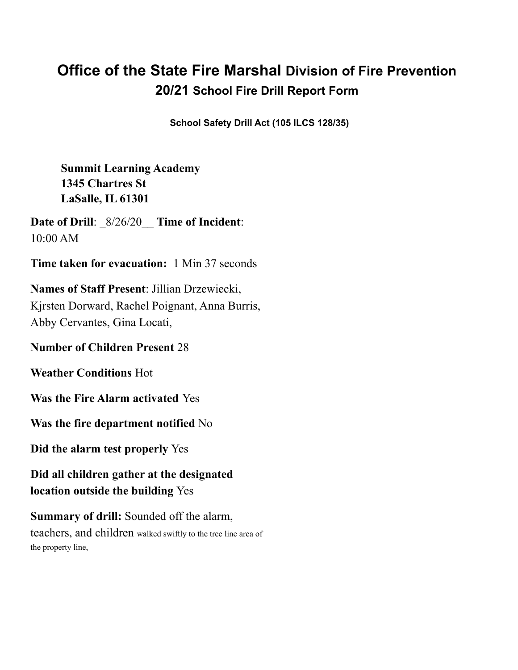# **Office of the State Fire Marshal Division of Fire Prevention 20/21 School Fire Drill Report Form**

**School Safety Drill Act (105 ILCS 128/35)**

**Summit Learning Academy 1345 Chartres St LaSalle, IL 61301**

**Date of Drill**: \_8/26/20\_\_ **Time of Incident**: 10:00 AM

**Time taken for evacuation:** 1 Min 37 seconds

**Names of Staff Present**: Jillian Drzewiecki, Kjrsten Dorward, Rachel Poignant, Anna Burris, Abby Cervantes, Gina Locati,

**Number of Children Present** 28

**Weather Conditions** Hot

**Was the Fire Alarm activated** Yes

**Was the fire department notified** No

**Did the alarm test properly** Yes

**Did all children gather at the designated location outside the building** Yes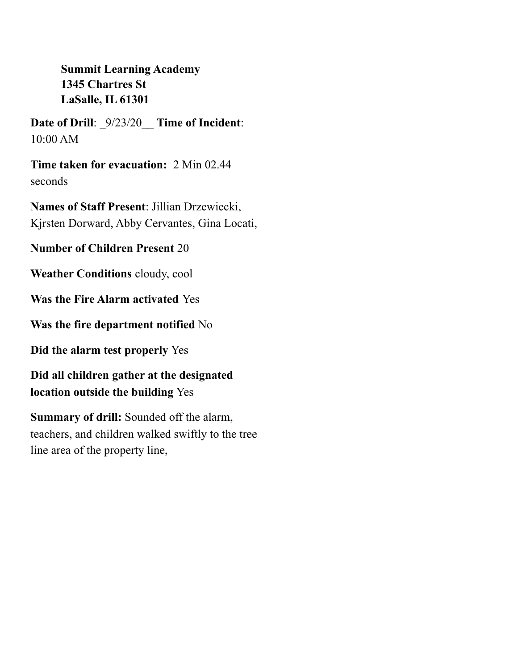**Date of Drill**: \_9/23/20\_\_ **Time of Incident**: 10:00 AM

**Time taken for evacuation:** 2 Min 02.44 seconds

**Names of Staff Present**: Jillian Drzewiecki, Kjrsten Dorward, Abby Cervantes, Gina Locati,

**Number of Children Present** 20

**Weather Conditions** cloudy, cool

**Was the Fire Alarm activated** Yes

**Was the fire department notified** No

**Did the alarm test properly** Yes

**Did all children gather at the designated location outside the building** Yes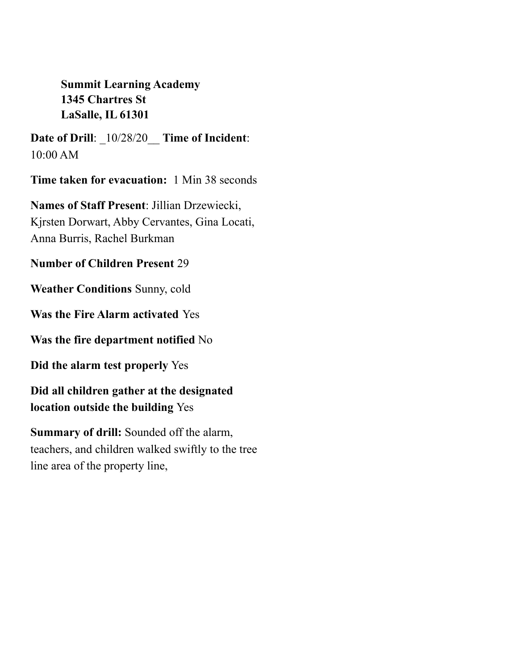**Date of Drill**: \_10/28/20\_\_ **Time of Incident**: 10:00 AM

**Time taken for evacuation:** 1 Min 38 seconds

**Names of Staff Present**: Jillian Drzewiecki, Kjrsten Dorwart, Abby Cervantes, Gina Locati, Anna Burris, Rachel Burkman

**Number of Children Present** 29

**Weather Conditions** Sunny, cold

**Was the Fire Alarm activated** Yes

**Was the fire department notified** No

**Did the alarm test properly** Yes

**Did all children gather at the designated location outside the building** Yes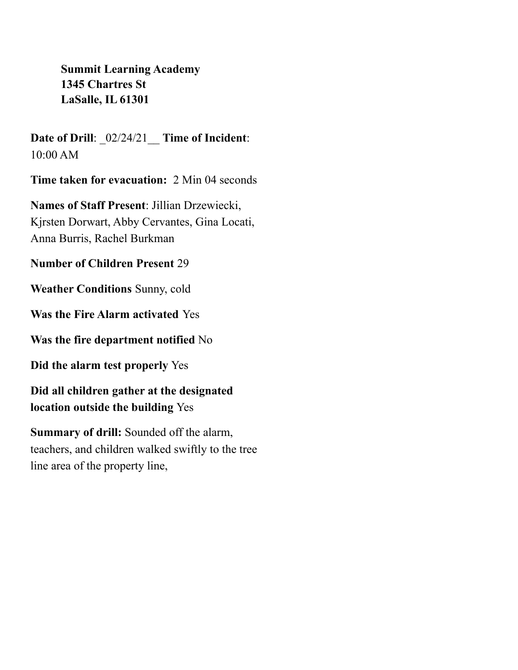**Date of Drill**: \_02/24/21\_\_ **Time of Incident**: 10:00 AM

**Time taken for evacuation:** 2 Min 04 seconds

**Names of Staff Present**: Jillian Drzewiecki, Kjrsten Dorwart, Abby Cervantes, Gina Locati, Anna Burris, Rachel Burkman

**Number of Children Present** 29

**Weather Conditions** Sunny, cold

**Was the Fire Alarm activated** Yes

**Was the fire department notified** No

**Did the alarm test properly** Yes

**Did all children gather at the designated location outside the building** Yes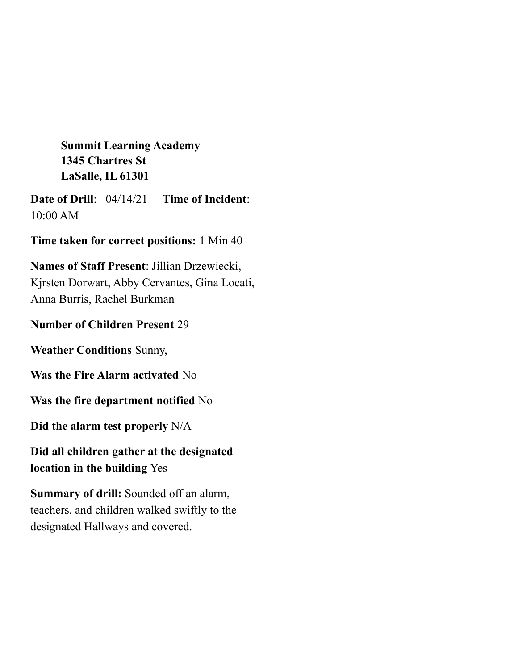**Date of Drill**: \_04/14/21\_\_ **Time of Incident**: 10:00 AM

**Time taken for correct positions:** 1 Min 40

**Names of Staff Present**: Jillian Drzewiecki, Kjrsten Dorwart, Abby Cervantes, Gina Locati, Anna Burris, Rachel Burkman

## **Number of Children Present** 29

**Weather Conditions** Sunny,

**Was the Fire Alarm activated** No

**Was the fire department notified** No

**Did the alarm test properly** N/A

**Did all children gather at the designated location in the building** Yes

**Summary of drill:** Sounded off an alarm, teachers, and children walked swiftly to the designated Hallways and covered.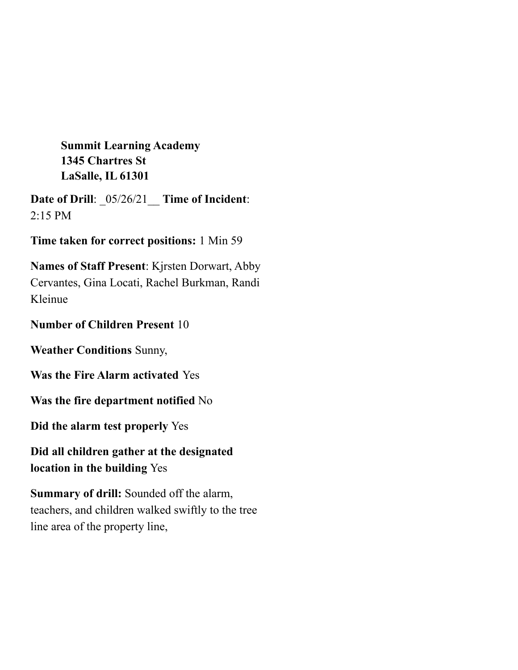**Date of Drill**: \_05/26/21\_\_ **Time of Incident**:  $2:15$  PM

**Time taken for correct positions:** 1 Min 59

**Names of Staff Present**: Kjrsten Dorwart, Abby Cervantes, Gina Locati, Rachel Burkman, Randi Kleinue

## **Number of Children Present** 10

**Weather Conditions** Sunny,

**Was the Fire Alarm activated** Yes

**Was the fire department notified** No

**Did the alarm test properly** Yes

**Did all children gather at the designated location in the building** Yes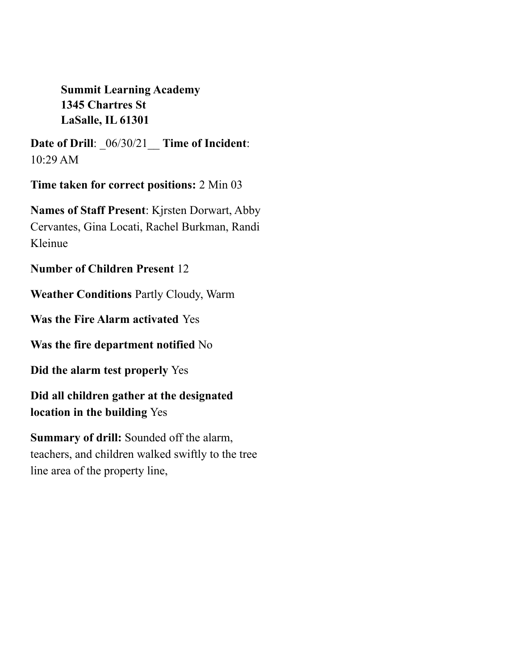**Date of Drill**: \_06/30/21\_\_ **Time of Incident**: 10:29 AM

**Time taken for correct positions:** 2 Min 03

**Names of Staff Present**: Kjrsten Dorwart, Abby Cervantes, Gina Locati, Rachel Burkman, Randi Kleinue

**Number of Children Present** 12

**Weather Conditions** Partly Cloudy, Warm

**Was the Fire Alarm activated** Yes

**Was the fire department notified** No

**Did the alarm test properly** Yes

**Did all children gather at the designated location in the building** Yes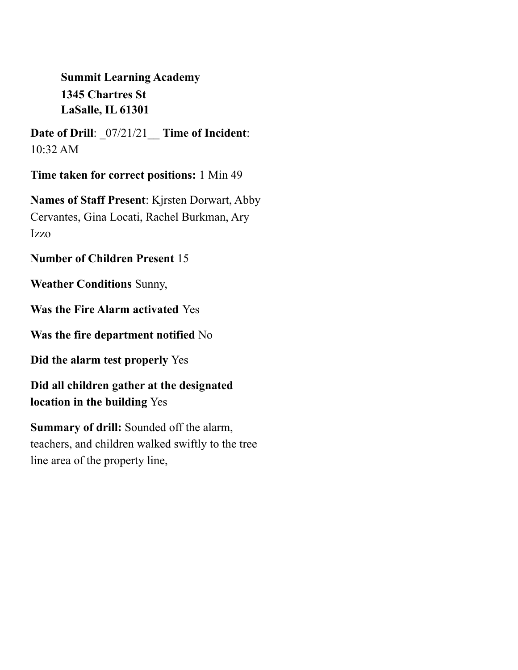**Date of Drill**: \_07/21/21\_\_ **Time of Incident**: 10:32 AM

**Time taken for correct positions:** 1 Min 49

**Names of Staff Present**: Kjrsten Dorwart, Abby Cervantes, Gina Locati, Rachel Burkman, Ary Izzo

#### **Number of Children Present** 15

**Weather Conditions** Sunny,

**Was the Fire Alarm activated** Yes

**Was the fire department notified** No

**Did the alarm test properly** Yes

**Did all children gather at the designated location in the building** Yes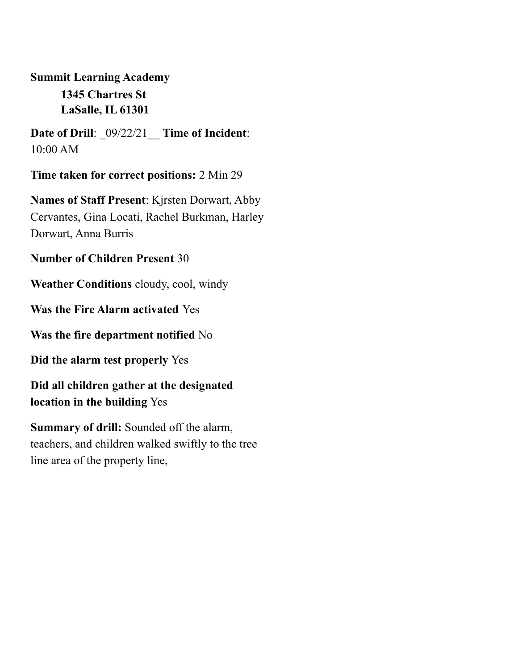**Date of Drill**: \_09/22/21\_\_ **Time of Incident**: 10:00 AM

**Time taken for correct positions:** 2 Min 29

**Names of Staff Present**: Kjrsten Dorwart, Abby Cervantes, Gina Locati, Rachel Burkman, Harley Dorwart, Anna Burris

#### **Number of Children Present** 30

**Weather Conditions** cloudy, cool, windy

**Was the Fire Alarm activated** Yes

**Was the fire department notified** No

**Did the alarm test properly** Yes

**Did all children gather at the designated location in the building** Yes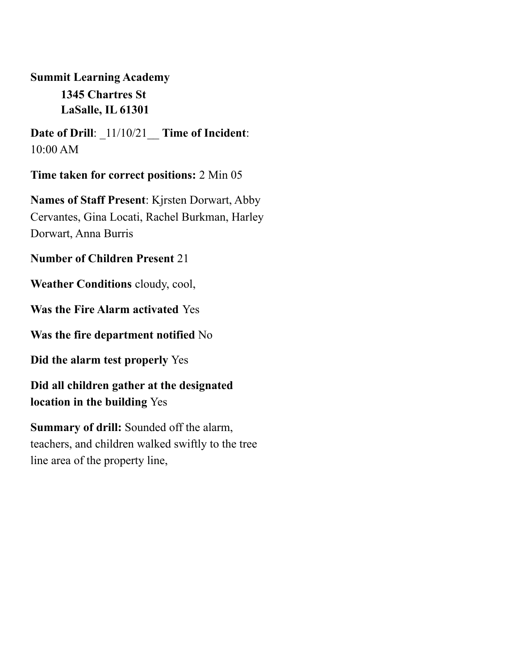**Date of Drill**: \_11/10/21\_\_ **Time of Incident**: 10:00 AM

**Time taken for correct positions:** 2 Min 05

**Names of Staff Present**: Kjrsten Dorwart, Abby Cervantes, Gina Locati, Rachel Burkman, Harley Dorwart, Anna Burris

#### **Number of Children Present** 21

**Weather Conditions** cloudy, cool,

**Was the Fire Alarm activated** Yes

**Was the fire department notified** No

**Did the alarm test properly** Yes

**Did all children gather at the designated location in the building** Yes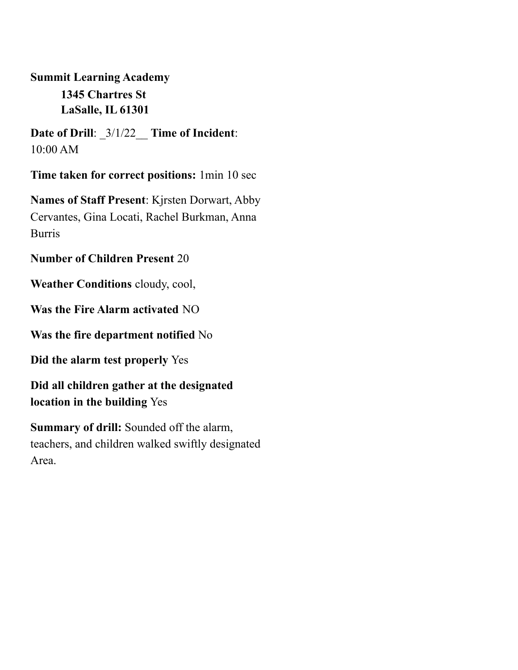**Date of Drill**: \_3/1/22\_\_ **Time of Incident**: 10:00 AM

**Time taken for correct positions:** 1min 10 sec

**Names of Staff Present**: Kjrsten Dorwart, Abby Cervantes, Gina Locati, Rachel Burkman, Anna Burris

#### **Number of Children Present** 20

**Weather Conditions** cloudy, cool,

**Was the Fire Alarm activated** NO

**Was the fire department notified** No

**Did the alarm test properly** Yes

**Did all children gather at the designated location in the building** Yes

**Summary of drill:** Sounded off the alarm, teachers, and children walked swiftly designated Area.